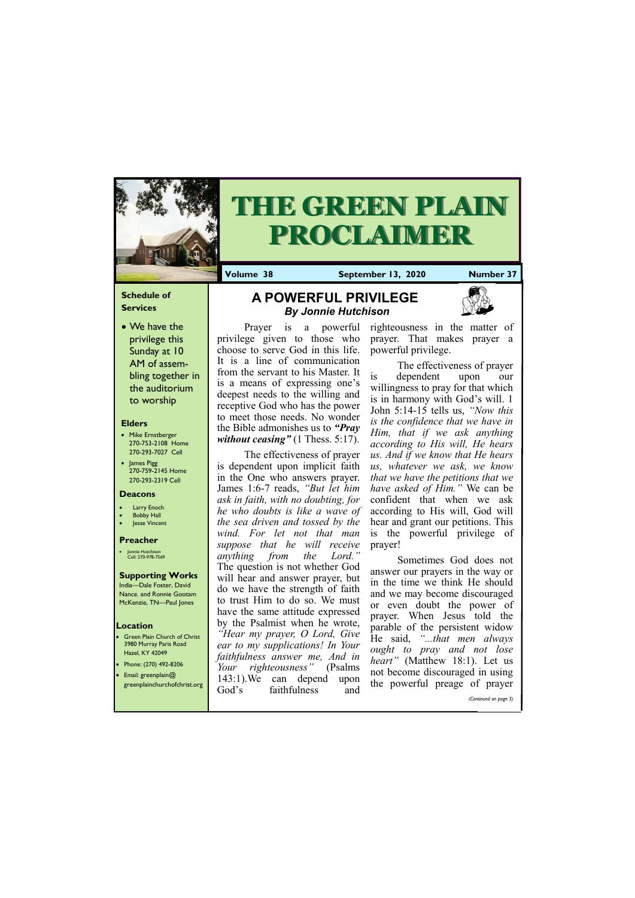### **Schedule of Services**

• We have the privilege this Sunday at 10 AM of assembling together in the auditorium to worship

#### **Elders**

- **Green Plain Church of Christ** 3980 Murray Paris Road Hazel, KY 42049 • Phone: (270) 492-8206
- Email: greenplain@
- Mike Ernstberger 270-753-2108 Home 270-293-7027 Cell
- James Pigg 270-759-2145 Home 270-293-2319 Cell



# **THE GREEN PLAIN PROCLAIMER**

#### **Location**

**Volume 38 September 13, 2020 Number 37**

#### **Deacons**

- **Larry Enoch**
- **Bobby Hall**
- Jesse Vincent

The effectiveness of prayer is dependent upon implicit faith in the One who answers prayer. James 1:6-7 reads, *"But let him ask in faith, with no doubting, for he who doubts is like a wave of the sea driven and tossed by the wind. For let not that man suppose that he will receive anything from the Lord."* The question is not whether God will hear and answer prayer, but do we have the strength of faith to trust Him to do so. We must have the same attitude expressed by the Psalmist when he wrote, *"Hear my prayer, O Lord, Give ear to my supplications! In Your faithfulness answer me, And in Your righteousness"* (Psalms  $142.1$ ). We can don

#### **Preacher**

• Jonnie Hutchison Cell: 270-978-7569

#### **Supporting Works** India—Dale Foster, David

Nance. and Ronnie Gootam McKenzie, TN—Paul Jones

Prayer is a powerful privilege given to those who choose to serve God in this life. It is a line of communication from the servant to his Master. It is a means of expressing one's deepest needs to the willing and receptive God who has the power to meet those needs. No wonder the Bible admonishes us to *"Pray without ceasing"* (1 Thess. 5:17).

| greenplainchurchofchrist.org | 143.II.WE<br>Jod's | can depend<br>faithfulness | upon<br>and |  | the powerful preage of prayer |
|------------------------------|--------------------|----------------------------|-------------|--|-------------------------------|
|                              |                    |                            |             |  | (Continued on page 3)         |

righteousness in the matter of prayer. That makes prayer a powerful privilege.

The effectiveness of prayer is dependent upon our willingness to pray for that which is in harmony with God's will. 1 John 5:14-15 tells us, *"Now this is the confidence that we have in Him, that if we ask anything according to His will, He hears us. And if we know that He hears us, whatever we ask, we know that we have the petitions that we have asked of Him."* We can be confident that when we ask according to His will, God will hear and grant our petitions. This is the powerful privilege of prayer!

Sometimes God does not answer our prayers in the way or in the time we think He should and we may become discouraged or even doubt the power of prayer. When Jesus told the parable of the persistent widow He said, *"...that men always ought to pray and not lose heart"* (Matthew 18:1). Let us not become discouraged in using

# **A POWERFUL PRIVILEGE**  *By Jonnie Hutchison*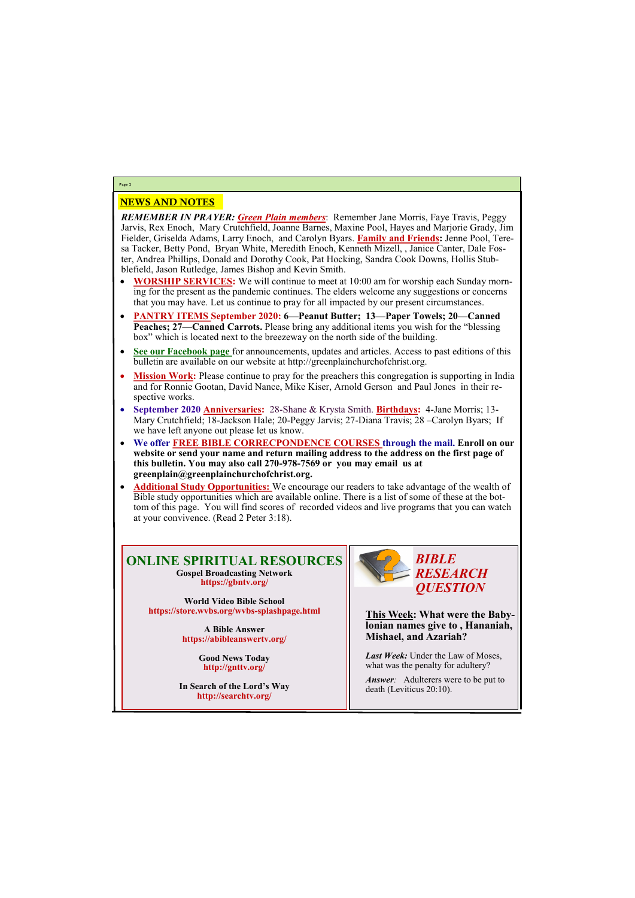## NEWS AND NOTES

*REMEMBER IN PRAYER: Green Plain members*: Remember Jane Morris, Faye Travis, Peggy Jarvis, Rex Enoch, Mary Crutchfield, Joanne Barnes, Maxine Pool, Hayes and Marjorie Grady, Jim Fielder, Griselda Adams, Larry Enoch, and Carolyn Byars. **Family and Friends:** Jenne Pool, Teresa Tacker, Betty Pond, Bryan White, Meredith Enoch, Kenneth Mizell, , Janice Canter, Dale Foster, Andrea Phillips, Donald and Dorothy Cook, Pat Hocking, Sandra Cook Downs, Hollis Stubblefield, Jason Rutledge, James Bishop and Kevin Smith.

- **WORSHIP SERVICES:** We will continue to meet at 10:00 am for worship each Sunday morning for the present as the pandemic continues. The elders welcome any suggestions or concerns that you may have. Let us continue to pray for all impacted by our present circumstances.
- **PANTRY ITEMS September 2020: 6—Peanut Butter; 13—Paper Towels; 20—Canned Peaches; 27—Canned Carrots.** Please bring any additional items you wish for the "blessing box" which is located next to the breezeway on the north side of the building.
- **See our Facebook page** for announcements, updates and articles. Access to past editions of this bulletin are available on our website at http://greenplainchurchofchrist.org.
- Mission Work: Please continue to pray for the preachers this congregation is supporting in India and for Ronnie Gootan, David Nance, Mike Kiser, Arnold Gerson and Paul Jones in their respective works.
- **September 2020 Anniversaries:** 28-Shane & Krysta Smith. **Birthdays:** 4-Jane Morris; 13- Mary Crutchfield; 18-Jackson Hale; 20-Peggy Jarvis; 27-Diana Travis; 28 –Carolyn Byars; If we have left anyone out please let us know.
- **We offer FREE BIBLE CORRECPONDENCE COURSES through the mail. Enroll on our website or send your name and return mailing address to the address on the first page of this bulletin. You may also call 270-978-7569 or you may email us at greenplain@greenplainchurchofchrist.org.**
- **Additional Study Opportunities:** We encourage our readers to take advantage of the wealth of Bible study opportunities which are available online. There is a list of some of these at the bottom of this page. You will find scores of recorded videos and live programs that you can watch at your convivence. (Read 2 Peter 3:18).

*Answer:* Adulterers were to be put to death (Leviticus 20:10).

# **Page 2**

**ONLINE SPIRITUAL RESOURCES Gospel Broadcasting Network https://gbntv.org/**

**World Video Bible School https://store.wvbs.org/wvbs-splashpage.html**

> **A Bible Answer https://abibleanswertv.org/**

> > **Good News Today http://gnttv.org/**

**In Search of the Lord's Way http://searchtv.org/**



**This Week: What were the Babylonian names give to , Hananiah, Mishael, and Azariah?**

*Last Week:* Under the Law of Moses, what was the penalty for adultery?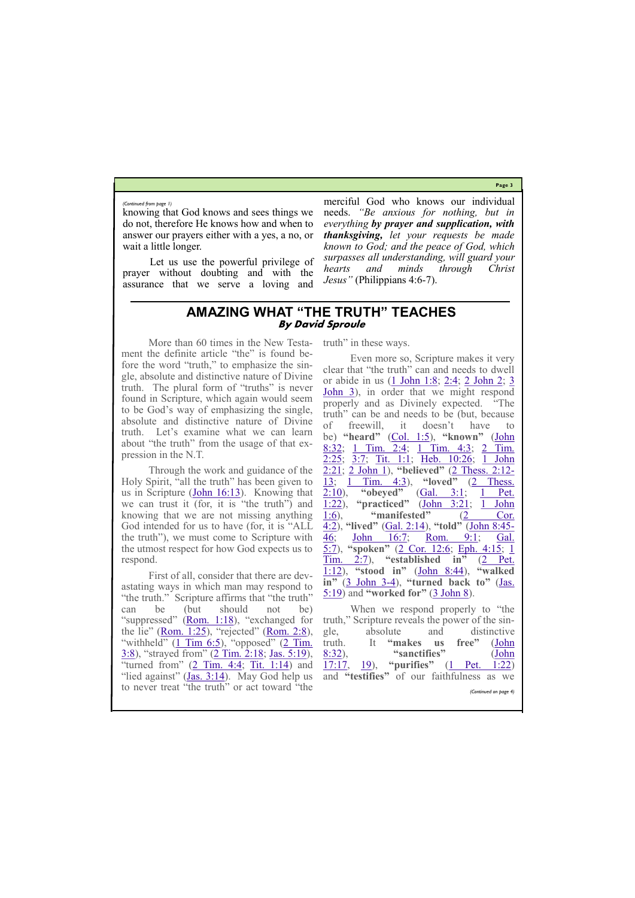**Page 3**

knowing that God knows and sees things we do not, therefore He knows how and when to answer our prayers either with a yes, a no, or wait a little longer.

Let us use the powerful privilege of prayer without doubting and with the assurance that we serve a loving and

merciful God who knows our individual needs. *"Be anxious for nothing, but in everything by prayer and supplication, with thanksgiving, let your requests be made known to God; and the peace of God, which surpasses all understanding, will guard your hearts and minds through Christ Jesus"* (Philippians 4:6-7).

*(Continued from page 1)*

# **AMAZING WHAT "THE TRUTH" TEACHES By David Sproule**

First of all, consider that there are devastating ways in which man may respond to "the truth." Scripture affirms that "the truth" can be (but should not be) "suppressed" ([Rom. 1:18](https://biblia.com/bible/esv/Rom.%201.18)), "exchanged for the lie" ([Rom. 1:25](https://biblia.com/bible/esv/Rom.%201.25)), "rejected" ([Rom. 2:8](https://biblia.com/bible/esv/Rom.%202.8)), "withheld"  $(1 \text{ Tim } 6:5)$ , "opposed"  $(2 \text{ Tim.})$ [3:8](https://biblia.com/bible/esv/2%20Tim.%203.8)), "strayed from" ([2 Tim. 2:18;](https://biblia.com/bible/esv/2%20Tim.%202.18) [Jas. 5:19](https://biblia.com/bible/esv/James.%205.19)), "turned from"  $(2$  Tim. 4:4; [Tit. 1:14\)](https://biblia.com/bible/esv/Titus.%201.14) and truth" in these ways.

More than 60 times in the New Testament the definite article "the" is found before the word "truth," to emphasize the single, absolute and distinctive nature of Divine truth. The plural form of "truths" is never found in Scripture, which again would seem to be God's way of emphasizing the single, absolute and distinctive nature of Divine truth. Let's examine what we can learn about "the truth" from the usage of that expression in the N.T.

Through the work and guidance of the Holy Spirit, "all the truth" has been given to us in Scripture  $(**John 16:13**)$ . Knowing that we can trust it (for, it is "the truth") and knowing that we are not missing anything God intended for us to have (for, it is "ALL the truth"), we must come to Scripture with the utmost respect for how God expects us to respond.

Even more so, Scripture makes it very clear that "the truth" can and needs to dwell or abide in us ([1 John 1:8;](https://biblia.com/bible/esv/1%20John%201.8) [2:4;](https://biblia.com/bible/esv/1%20John%202.4) [2 John 2;](https://biblia.com/bible/esv/2%20John%202) [3](https://biblia.com/bible/esv/3%20John%203)  [John 3\)](https://biblia.com/bible/esv/3%20John%203), in order that we might respond properly and as Divinely expected. "The truth" can be and needs to be (but, because of freewill, it doesn't have to be) **"heard"** [\(Col. 1:5\)](https://biblia.com/bible/esv/Col.%201.5), **"known"** [\(John](https://biblia.com/bible/esv/John%208.32)  [8:32;](https://biblia.com/bible/esv/John%208.32) [1 Tim. 2:4;](https://biblia.com/bible/esv/1%20Tim.%202.4) [1 Tim. 4:3;](https://biblia.com/bible/esv/1%20Tim.%204.3) [2 Tim.](https://biblia.com/bible/esv/2%20Tim.%202.25)  [2:25;](https://biblia.com/bible/esv/2%20Tim.%202.25) [3:7;](https://biblia.com/bible/esv/2%20Tim%203.7) [Tit. 1:1;](https://biblia.com/bible/esv/Titus.%201.1) [Heb. 10:26;](https://biblia.com/bible/esv/Heb.%2010.26) 1 John [2:21;](https://biblia.com/bible/esv/1%20John%202.21) [2 John 1\),](https://biblia.com/bible/esv/2%20John%201) **"believed"** [\(2 Thess. 2:12](https://biblia.com/bible/esv/2%20Thess.%202.12-13)- [13;](https://biblia.com/bible/esv/2%20Thess.%202.12-13) [1 Tim. 4:3\),](https://biblia.com/bible/esv/1%20Tim.%204.3) "**loved**" (2 Thess.<br>2:10), "**obeyed**" (Gal. 3:1; 1 Pet. [2:10\)](https://biblia.com/bible/esv/2%20Thess.%202.10), **"obeyed"** ([Gal. 3:1;](https://biblia.com/bible/esv/Gal.%203.1) [1 Pet.](https://biblia.com/bible/esv/1%20Pet.%201.22)  [1:22\)](https://biblia.com/bible/esv/1%20Pet.%201.22), **"practiced"** ([John 3:21;](https://biblia.com/bible/esv/John%203.21) [1 John](https://biblia.com/bible/esv/1%20John%201.6)  [1:6\)](https://biblia.com/bible/esv/1%20John%201.6), **"manifested"** [\(2 Cor.](https://biblia.com/bible/esv/2%20Cor.%204.2)  [4:2\)](https://biblia.com/bible/esv/2%20Cor.%204.2), **"lived"** ([Gal. 2:14\)](https://biblia.com/bible/esv/Gal.%202.14), **"told"** ([John 8:45](https://biblia.com/bible/esv/John%208.45-46)- [46;](https://biblia.com/bible/esv/John%208.45-46) [John 16:7;](https://biblia.com/bible/esv/John%2016.7) [Rom. 9:1;](https://biblia.com/bible/esv/Rom.%209.1) [Gal.](https://biblia.com/bible/esv/Gal.%205.7)  [5:7\)](https://biblia.com/bible/esv/Gal.%205.7), **"spoken"** [\(2 Cor. 12:6;](https://biblia.com/bible/esv/2%20Cor.%2012.6) [Eph. 4:15;](https://biblia.com/bible/esv/Eph.%204.15) [1](https://biblia.com/bible/esv/1%20Tim.%202.7)  [Tim. 2:7\),](https://biblia.com/bible/esv/1%20Tim.%202.7) **"established in"** ([2 Pet.](https://biblia.com/bible/esv/2%20Pet.%201.12)  [1:12\)](https://biblia.com/bible/esv/2%20Pet.%201.12), **"stood in"** [\(John 8:44\),](https://biblia.com/bible/esv/John%208.44) **"walked in"** ([3 John 3](https://biblia.com/bible/esv/3%20John%203-4)-4), **"turned back to"** ([Jas.](https://biblia.com/bible/esv/James.%205.19)  [5:19\)](https://biblia.com/bible/esv/James.%205.19) and **"worked for"** [\(3 John 8\)](https://biblia.com/bible/esv/3%20John%208).

| "lied against" (Jas. 3:14). May God help us and "testifies" of our faithfulness as we |  |  |  |                       |
|---------------------------------------------------------------------------------------|--|--|--|-----------------------|
| to never treat "the truth" or act toward "the                                         |  |  |  | (Continued on page 4) |
|                                                                                       |  |  |  |                       |

When we respond properly to "the truth," Scripture reveals the power of the single, absolute and distinctive truth. It **"makes us free"** [\(John](https://biblia.com/bible/esv/John%208.32)  [8:32\)](https://biblia.com/bible/esv/John%208.32), **"sanctifies"** ([John](https://biblia.com/bible/esv/John%2017.17)  [17:17,](https://biblia.com/bible/esv/John%2017.17) [19\)](https://biblia.com/bible/esv/John%2017.19), **"purifies"** [\(1 Pet. 1:22\)](https://biblia.com/bible/esv/1%20Pet.%201.22)